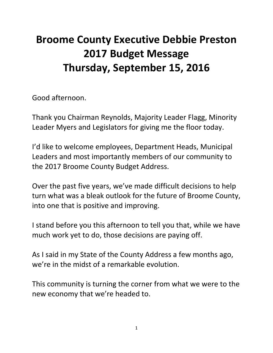# **Broome County Executive Debbie Preston 2017 Budget Message Thursday, September 15, 2016**

Good afternoon.

Thank you Chairman Reynolds, Majority Leader Flagg, Minority Leader Myers and Legislators for giving me the floor today.

I'd like to welcome employees, Department Heads, Municipal Leaders and most importantly members of our community to the 2017 Broome County Budget Address.

Over the past five years, we've made difficult decisions to help turn what was a bleak outlook for the future of Broome County, into one that is positive and improving.

I stand before you this afternoon to tell you that, while we have much work yet to do, those decisions are paying off.

As I said in my State of the County Address a few months ago, we're in the midst of a remarkable evolution.

This community is turning the corner from what we were to the new economy that we're headed to.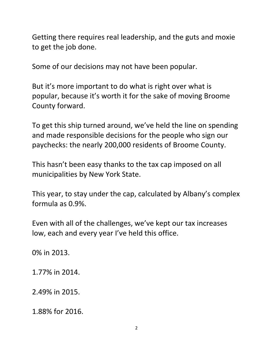Getting there requires real leadership, and the guts and moxie to get the job done.

Some of our decisions may not have been popular.

But it's more important to do what is right over what is popular, because it's worth it for the sake of moving Broome County forward.

To get this ship turned around, we've held the line on spending and made responsible decisions for the people who sign our paychecks: the nearly 200,000 residents of Broome County.

This hasn't been easy thanks to the tax cap imposed on all municipalities by New York State.

This year, to stay under the cap, calculated by Albany's complex formula as 0.9%.

Even with all of the challenges, we've kept our tax increases low, each and every year I've held this office.

0% in 2013.

1.77% in 2014.

2.49% in 2015.

1.88% for 2016.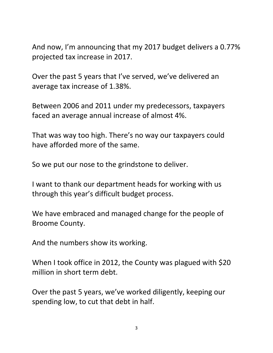And now, I'm announcing that my 2017 budget delivers a 0.77% projected tax increase in 2017.

Over the past 5 years that I've served, we've delivered an average tax increase of 1.38%.

Between 2006 and 2011 under my predecessors, taxpayers faced an average annual increase of almost 4%.

That was way too high. There's no way our taxpayers could have afforded more of the same.

So we put our nose to the grindstone to deliver.

I want to thank our department heads for working with us through this year's difficult budget process.

We have embraced and managed change for the people of Broome County.

And the numbers show its working.

When I took office in 2012, the County was plagued with \$20 million in short term debt.

Over the past 5 years, we've worked diligently, keeping our spending low, to cut that debt in half.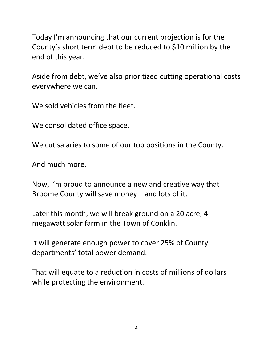Today I'm announcing that our current projection is for the County's short term debt to be reduced to \$10 million by the end of this year.

Aside from debt, we've also prioritized cutting operational costs everywhere we can.

We sold vehicles from the fleet.

We consolidated office space.

We cut salaries to some of our top positions in the County.

And much more.

Now, I'm proud to announce a new and creative way that Broome County will save money – and lots of it.

Later this month, we will break ground on a 20 acre, 4 megawatt solar farm in the Town of Conklin.

It will generate enough power to cover 25% of County departments' total power demand.

That will equate to a reduction in costs of millions of dollars while protecting the environment.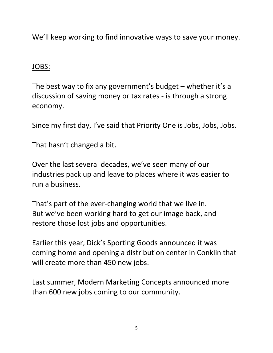We'll keep working to find innovative ways to save your money.

#### JOBS:

The best way to fix any government's budget – whether it's a discussion of saving money or tax rates - is through a strong economy.

Since my first day, I've said that Priority One is Jobs, Jobs, Jobs.

That hasn't changed a bit.

Over the last several decades, we've seen many of our industries pack up and leave to places where it was easier to run a business.

That's part of the ever-changing world that we live in. But we've been working hard to get our image back, and restore those lost jobs and opportunities.

Earlier this year, Dick's Sporting Goods announced it was coming home and opening a distribution center in Conklin that will create more than 450 new jobs.

Last summer, Modern Marketing Concepts announced more than 600 new jobs coming to our community.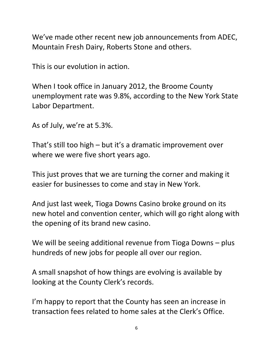We've made other recent new job announcements from ADEC, Mountain Fresh Dairy, Roberts Stone and others.

This is our evolution in action.

When I took office in January 2012, the Broome County unemployment rate was 9.8%, according to the New York State Labor Department.

As of July, we're at 5.3%.

That's still too high – but it's a dramatic improvement over where we were five short years ago.

This just proves that we are turning the corner and making it easier for businesses to come and stay in New York.

And just last week, Tioga Downs Casino broke ground on its new hotel and convention center, which will go right along with the opening of its brand new casino.

We will be seeing additional revenue from Tioga Downs – plus hundreds of new jobs for people all over our region.

A small snapshot of how things are evolving is available by looking at the County Clerk's records.

I'm happy to report that the County has seen an increase in transaction fees related to home sales at the Clerk's Office.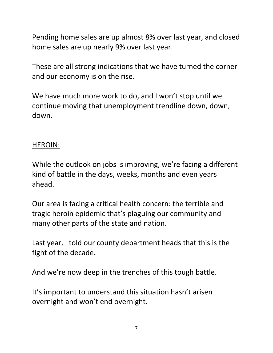Pending home sales are up almost 8% over last year, and closed home sales are up nearly 9% over last year.

These are all strong indications that we have turned the corner and our economy is on the rise.

We have much more work to do, and I won't stop until we continue moving that unemployment trendline down, down, down.

#### HEROIN:

While the outlook on jobs is improving, we're facing a different kind of battle in the days, weeks, months and even years ahead.

Our area is facing a critical health concern: the terrible and tragic heroin epidemic that's plaguing our community and many other parts of the state and nation.

Last year, I told our county department heads that this is the fight of the decade.

And we're now deep in the trenches of this tough battle.

It's important to understand this situation hasn't arisen overnight and won't end overnight.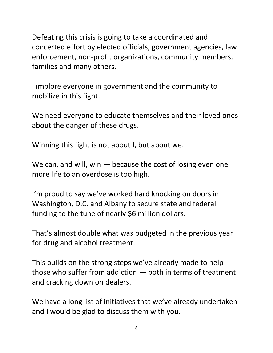Defeating this crisis is going to take a coordinated and concerted effort by elected officials, government agencies, law enforcement, non-profit organizations, community members, families and many others.

I implore everyone in government and the community to mobilize in this fight.

We need everyone to educate themselves and their loved ones about the danger of these drugs.

Winning this fight is not about I, but about we.

We can, and will, win  $-$  because the cost of losing even one more life to an overdose is too high.

I'm proud to say we've worked hard knocking on doors in Washington, D.C. and Albany to secure state and federal funding to the tune of nearly \$6 million dollars.

That's almost double what was budgeted in the previous year for drug and alcohol treatment.

This builds on the strong steps we've already made to help those who suffer from addiction — both in terms of treatment and cracking down on dealers.

We have a long list of initiatives that we've already undertaken and I would be glad to discuss them with you.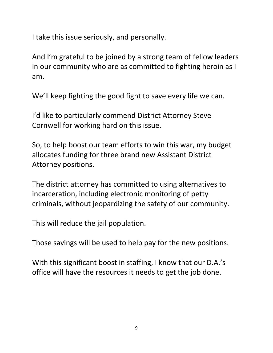I take this issue seriously, and personally.

And I'm grateful to be joined by a strong team of fellow leaders in our community who are as committed to fighting heroin as I am.

We'll keep fighting the good fight to save every life we can.

I'd like to particularly commend District Attorney Steve Cornwell for working hard on this issue.

So, to help boost our team efforts to win this war, my budget allocates funding for three brand new Assistant District Attorney positions.

The district attorney has committed to using alternatives to incarceration, including electronic monitoring of petty criminals, without jeopardizing the safety of our community.

This will reduce the jail population.

Those savings will be used to help pay for the new positions.

With this significant boost in staffing, I know that our D.A.'s office will have the resources it needs to get the job done.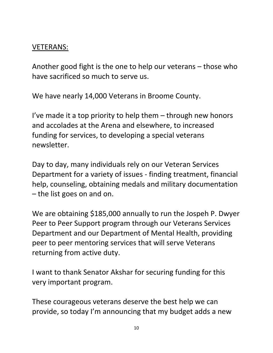### VETERANS:

Another good fight is the one to help our veterans – those who have sacrificed so much to serve us.

We have nearly 14,000 Veterans in Broome County.

I've made it a top priority to help them – through new honors and accolades at the Arena and elsewhere, to increased funding for services, to developing a special veterans newsletter.

Day to day, many individuals rely on our Veteran Services Department for a variety of issues - finding treatment, financial help, counseling, obtaining medals and military documentation – the list goes on and on.

We are obtaining \$185,000 annually to run the Jospeh P. Dwyer Peer to Peer Support program through our Veterans Services Department and our Department of Mental Health, providing peer to peer mentoring services that will serve Veterans returning from active duty.

I want to thank Senator Akshar for securing funding for this very important program.

These courageous veterans deserve the best help we can provide, so today I'm announcing that my budget adds a new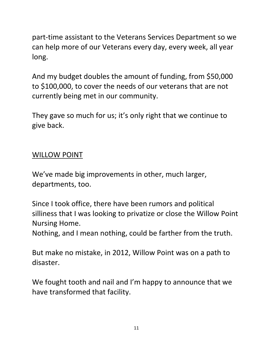part-time assistant to the Veterans Services Department so we can help more of our Veterans every day, every week, all year long.

And my budget doubles the amount of funding, from \$50,000 to \$100,000, to cover the needs of our veterans that are not currently being met in our community.

They gave so much for us; it's only right that we continue to give back.

### WILLOW POINT

We've made big improvements in other, much larger, departments, too.

Since I took office, there have been rumors and political silliness that I was looking to privatize or close the Willow Point Nursing Home.

Nothing, and I mean nothing, could be farther from the truth.

But make no mistake, in 2012, Willow Point was on a path to disaster.

We fought tooth and nail and I'm happy to announce that we have transformed that facility.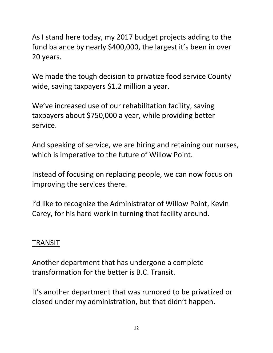As I stand here today, my 2017 budget projects adding to the fund balance by nearly \$400,000, the largest it's been in over 20 years.

We made the tough decision to privatize food service County wide, saving taxpayers \$1.2 million a year.

We've increased use of our rehabilitation facility, saving taxpayers about \$750,000 a year, while providing better service.

And speaking of service, we are hiring and retaining our nurses, which is imperative to the future of Willow Point.

Instead of focusing on replacing people, we can now focus on improving the services there.

I'd like to recognize the Administrator of Willow Point, Kevin Carey, for his hard work in turning that facility around.

#### TRANSIT

Another department that has undergone a complete transformation for the better is B.C. Transit.

It's another department that was rumored to be privatized or closed under my administration, but that didn't happen.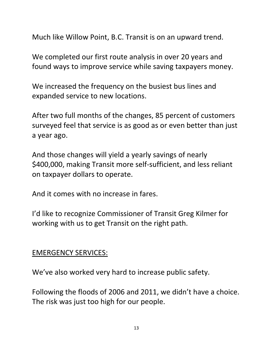Much like Willow Point, B.C. Transit is on an upward trend.

We completed our first route analysis in over 20 years and found ways to improve service while saving taxpayers money.

We increased the frequency on the busiest bus lines and expanded service to new locations.

After two full months of the changes, 85 percent of customers surveyed feel that service is as good as or even better than just a year ago.

And those changes will yield a yearly savings of nearly \$400,000, making Transit more self-sufficient, and less reliant on taxpayer dollars to operate.

And it comes with no increase in fares.

I'd like to recognize Commissioner of Transit Greg Kilmer for working with us to get Transit on the right path.

#### EMERGENCY SERVICES:

We've also worked very hard to increase public safety.

Following the floods of 2006 and 2011, we didn't have a choice. The risk was just too high for our people.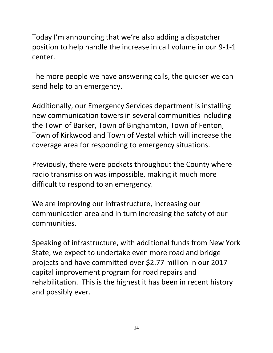Today I'm announcing that we're also adding a dispatcher position to help handle the increase in call volume in our 9-1-1 center.

The more people we have answering calls, the quicker we can send help to an emergency.

Additionally, our Emergency Services department is installing new communication towers in several communities including the Town of Barker, Town of Binghamton, Town of Fenton, Town of Kirkwood and Town of Vestal which will increase the coverage area for responding to emergency situations.

Previously, there were pockets throughout the County where radio transmission was impossible, making it much more difficult to respond to an emergency.

We are improving our infrastructure, increasing our communication area and in turn increasing the safety of our communities.

Speaking of infrastructure, with additional funds from New York State, we expect to undertake even more road and bridge projects and have committed over \$2.77 million in our 2017 capital improvement program for road repairs and rehabilitation. This is the highest it has been in recent history and possibly ever.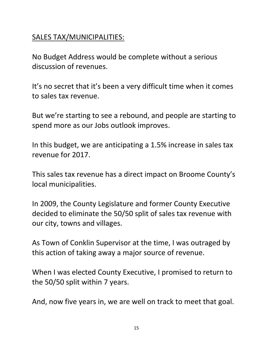## SALES TAX/MUNICIPALITIES:

No Budget Address would be complete without a serious discussion of revenues.

It's no secret that it's been a very difficult time when it comes to sales tax revenue.

But we're starting to see a rebound, and people are starting to spend more as our Jobs outlook improves.

In this budget, we are anticipating a 1.5% increase in sales tax revenue for 2017.

This sales tax revenue has a direct impact on Broome County's local municipalities.

In 2009, the County Legislature and former County Executive decided to eliminate the 50/50 split of sales tax revenue with our city, towns and villages.

As Town of Conklin Supervisor at the time, I was outraged by this action of taking away a major source of revenue.

When I was elected County Executive, I promised to return to the 50/50 split within 7 years.

And, now five years in, we are well on track to meet that goal.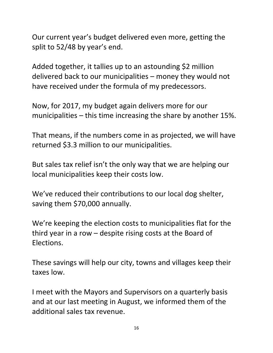Our current year's budget delivered even more, getting the split to 52/48 by year's end.

Added together, it tallies up to an astounding \$2 million delivered back to our municipalities – money they would not have received under the formula of my predecessors.

Now, for 2017, my budget again delivers more for our municipalities – this time increasing the share by another 15%.

That means, if the numbers come in as projected, we will have returned \$3.3 million to our municipalities.

But sales tax relief isn't the only way that we are helping our local municipalities keep their costs low.

We've reduced their contributions to our local dog shelter, saving them \$70,000 annually.

We're keeping the election costs to municipalities flat for the third year in a row – despite rising costs at the Board of Elections.

These savings will help our city, towns and villages keep their taxes low.

I meet with the Mayors and Supervisors on a quarterly basis and at our last meeting in August, we informed them of the additional sales tax revenue.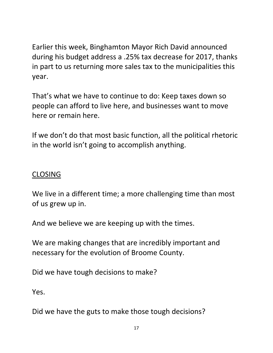Earlier this week, Binghamton Mayor Rich David announced during his budget address a .25% tax decrease for 2017, thanks in part to us returning more sales tax to the municipalities this year.

That's what we have to continue to do: Keep taxes down so people can afford to live here, and businesses want to move here or remain here.

If we don't do that most basic function, all the political rhetoric in the world isn't going to accomplish anything.

## CLOSING

We live in a different time; a more challenging time than most of us grew up in.

And we believe we are keeping up with the times.

We are making changes that are incredibly important and necessary for the evolution of Broome County.

Did we have tough decisions to make?

Yes.

Did we have the guts to make those tough decisions?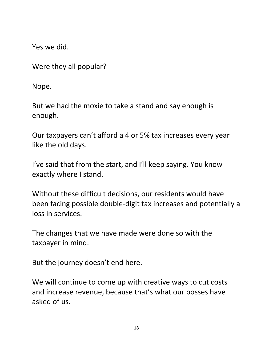Yes we did.

Were they all popular?

Nope.

But we had the moxie to take a stand and say enough is enough.

Our taxpayers can't afford a 4 or 5% tax increases every year like the old days.

I've said that from the start, and I'll keep saying. You know exactly where I stand.

Without these difficult decisions, our residents would have been facing possible double-digit tax increases and potentially a loss in services.

The changes that we have made were done so with the taxpayer in mind.

But the journey doesn't end here.

We will continue to come up with creative ways to cut costs and increase revenue, because that's what our bosses have asked of us.